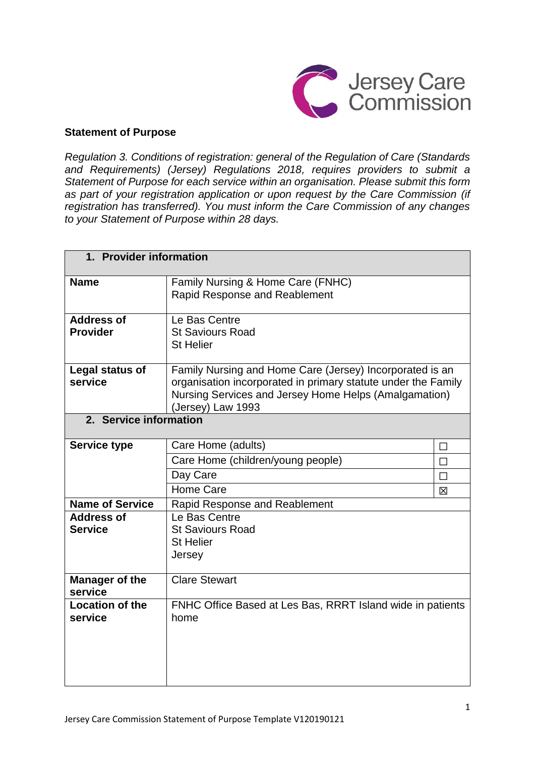

#### **Statement of Purpose**

*Regulation 3. Conditions of registration: general of the Regulation of Care (Standards and Requirements) (Jersey) Regulations 2018, requires providers to submit a Statement of Purpose for each service within an organisation. Please submit this form as part of your registration application or upon request by the Care Commission (if registration has transferred). You must inform the Care Commission of any changes to your Statement of Purpose within 28 days.*

| 1. Provider information              |                                                                                                                                                                                                         |                            |  |
|--------------------------------------|---------------------------------------------------------------------------------------------------------------------------------------------------------------------------------------------------------|----------------------------|--|
| <b>Name</b>                          | Family Nursing & Home Care (FNHC)<br>Rapid Response and Reablement                                                                                                                                      |                            |  |
| <b>Address of</b><br><b>Provider</b> | Le Bas Centre<br><b>St Saviours Road</b><br><b>St Helier</b>                                                                                                                                            |                            |  |
| Legal status of<br>service           | Family Nursing and Home Care (Jersey) Incorporated is an<br>organisation incorporated in primary statute under the Family<br>Nursing Services and Jersey Home Helps (Amalgamation)<br>(Jersey) Law 1993 |                            |  |
| 2. Service information               |                                                                                                                                                                                                         |                            |  |
| <b>Service type</b>                  | Care Home (adults)<br>Care Home (children/young people)<br>Day Care<br>Home Care                                                                                                                        | $\Box$<br>$\Box$<br>П<br>区 |  |
| <b>Name of Service</b>               | Rapid Response and Reablement                                                                                                                                                                           |                            |  |
| <b>Address of</b><br><b>Service</b>  | Le Bas Centre<br><b>St Saviours Road</b><br><b>St Helier</b><br>Jersey                                                                                                                                  |                            |  |
| <b>Manager of the</b><br>service     | <b>Clare Stewart</b>                                                                                                                                                                                    |                            |  |
| <b>Location of the</b><br>service    | FNHC Office Based at Les Bas, RRRT Island wide in patients<br>home                                                                                                                                      |                            |  |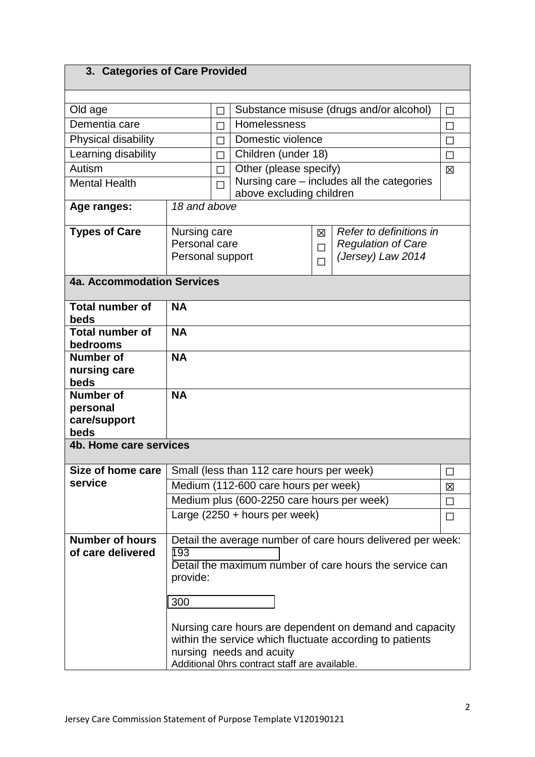| 3. Categories of Care Provided |
|--------------------------------|
|--------------------------------|

| Old age                            |                                              | $\Box$    |                                               |   | Substance misuse (drugs and/or alcohol)                     | $\Box$ |
|------------------------------------|----------------------------------------------|-----------|-----------------------------------------------|---|-------------------------------------------------------------|--------|
| Dementia care                      |                                              | П         | Homelessness                                  |   |                                                             | П      |
| Physical disability                |                                              | П         | Domestic violence                             |   | П                                                           |        |
| Learning disability                |                                              | П         | Children (under 18)                           |   | П                                                           |        |
| Autism                             |                                              | П         | Other (please specify)                        |   |                                                             | 区      |
| <b>Mental Health</b>               |                                              | П         | above excluding children                      |   | Nursing care – includes all the categories                  |        |
| Age ranges:                        | 18 and above                                 |           |                                               |   |                                                             |        |
| <b>Types of Care</b>               | Nursing care<br>Refer to definitions in<br>図 |           |                                               |   |                                                             |        |
|                                    | Personal care<br>Personal support            |           |                                               | П | <b>Regulation of Care</b><br>(Jersey) Law 2014              |        |
|                                    |                                              |           |                                               | П |                                                             |        |
| <b>4a. Accommodation Services</b>  |                                              |           |                                               |   |                                                             |        |
| <b>Total number of</b><br>beds     | <b>NA</b>                                    |           |                                               |   |                                                             |        |
| <b>Total number of</b><br>bedrooms | <b>NA</b>                                    |           |                                               |   |                                                             |        |
| <b>Number of</b>                   | <b>NA</b>                                    |           |                                               |   |                                                             |        |
| nursing care                       |                                              |           |                                               |   |                                                             |        |
| beds                               |                                              |           |                                               |   |                                                             |        |
| <b>Number of</b>                   |                                              | <b>NA</b> |                                               |   |                                                             |        |
| personal<br>care/support           |                                              |           |                                               |   |                                                             |        |
| beds                               |                                              |           |                                               |   |                                                             |        |
| 4b. Home care services             |                                              |           |                                               |   |                                                             |        |
|                                    |                                              |           |                                               |   |                                                             |        |
| Size of home care                  |                                              |           | Small (less than 112 care hours per week)     |   |                                                             |        |
| service                            |                                              |           | Medium (112-600 care hours per week)          |   |                                                             | 区      |
|                                    |                                              |           | Medium plus (600-2250 care hours per week)    |   |                                                             | П      |
|                                    |                                              |           | Large $(2250 + hours per week)$               |   |                                                             | $\Box$ |
| <b>Number of hours</b>             |                                              |           |                                               |   | Detail the average number of care hours delivered per week: |        |
| of care delivered                  | 193                                          |           |                                               |   |                                                             |        |
|                                    |                                              |           |                                               |   | Detail the maximum number of care hours the service can     |        |
|                                    | provide:                                     |           |                                               |   |                                                             |        |
|                                    | 300                                          |           |                                               |   |                                                             |        |
|                                    |                                              |           |                                               |   |                                                             |        |
|                                    |                                              |           |                                               |   | Nursing care hours are dependent on demand and capacity     |        |
|                                    |                                              |           |                                               |   | within the service which fluctuate according to patients    |        |
|                                    |                                              |           | nursing needs and acuity                      |   |                                                             |        |
|                                    |                                              |           | Additional Ohrs contract staff are available. |   |                                                             |        |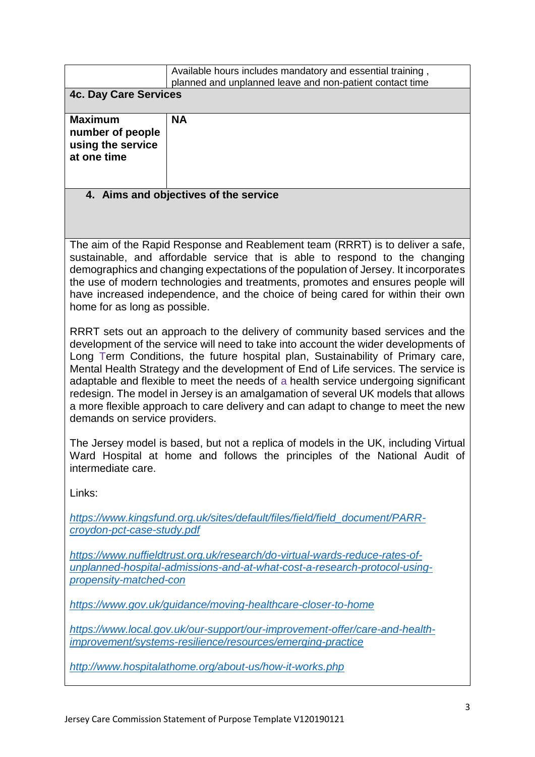|                                                                                                                                                                                                                                                                                                                                                                                                                                                                                                                                                                                                                                                                                                                                                                                                                                                                                                                                                                                                                                                                                                                                                                                                                                                                                                          | Available hours includes mandatory and essential training,<br>planned and unplanned leave and non-patient contact time                    |  |  |
|----------------------------------------------------------------------------------------------------------------------------------------------------------------------------------------------------------------------------------------------------------------------------------------------------------------------------------------------------------------------------------------------------------------------------------------------------------------------------------------------------------------------------------------------------------------------------------------------------------------------------------------------------------------------------------------------------------------------------------------------------------------------------------------------------------------------------------------------------------------------------------------------------------------------------------------------------------------------------------------------------------------------------------------------------------------------------------------------------------------------------------------------------------------------------------------------------------------------------------------------------------------------------------------------------------|-------------------------------------------------------------------------------------------------------------------------------------------|--|--|
| <b>4c. Day Care Services</b>                                                                                                                                                                                                                                                                                                                                                                                                                                                                                                                                                                                                                                                                                                                                                                                                                                                                                                                                                                                                                                                                                                                                                                                                                                                                             |                                                                                                                                           |  |  |
| <b>Maximum</b><br>number of people<br>using the service<br>at one time                                                                                                                                                                                                                                                                                                                                                                                                                                                                                                                                                                                                                                                                                                                                                                                                                                                                                                                                                                                                                                                                                                                                                                                                                                   | <b>NA</b>                                                                                                                                 |  |  |
|                                                                                                                                                                                                                                                                                                                                                                                                                                                                                                                                                                                                                                                                                                                                                                                                                                                                                                                                                                                                                                                                                                                                                                                                                                                                                                          | 4. Aims and objectives of the service                                                                                                     |  |  |
|                                                                                                                                                                                                                                                                                                                                                                                                                                                                                                                                                                                                                                                                                                                                                                                                                                                                                                                                                                                                                                                                                                                                                                                                                                                                                                          |                                                                                                                                           |  |  |
| The aim of the Rapid Response and Reablement team (RRRT) is to deliver a safe,<br>sustainable, and affordable service that is able to respond to the changing<br>demographics and changing expectations of the population of Jersey. It incorporates<br>the use of modern technologies and treatments, promotes and ensures people will<br>have increased independence, and the choice of being cared for within their own<br>home for as long as possible.<br>RRRT sets out an approach to the delivery of community based services and the<br>development of the service will need to take into account the wider developments of<br>Long Term Conditions, the future hospital plan, Sustainability of Primary care,<br>Mental Health Strategy and the development of End of Life services. The service is<br>adaptable and flexible to meet the needs of a health service undergoing significant<br>redesign. The model in Jersey is an amalgamation of several UK models that allows<br>a more flexible approach to care delivery and can adapt to change to meet the new<br>demands on service providers.<br>The Jersey model is based, but not a replica of models in the UK, including Virtual<br>Ward Hospital at home and follows the principles of the National Audit of<br>intermediate care. |                                                                                                                                           |  |  |
| Links:                                                                                                                                                                                                                                                                                                                                                                                                                                                                                                                                                                                                                                                                                                                                                                                                                                                                                                                                                                                                                                                                                                                                                                                                                                                                                                   |                                                                                                                                           |  |  |
| https://www.kingsfund.org.uk/sites/default/files/field/field_document/PARR-<br>croydon-pct-case-study.pdf                                                                                                                                                                                                                                                                                                                                                                                                                                                                                                                                                                                                                                                                                                                                                                                                                                                                                                                                                                                                                                                                                                                                                                                                |                                                                                                                                           |  |  |
| https://www.nuffieldtrust.org.uk/research/do-virtual-wards-reduce-rates-of-<br>unplanned-hospital-admissions-and-at-what-cost-a-research-protocol-using-<br>propensity-matched-con                                                                                                                                                                                                                                                                                                                                                                                                                                                                                                                                                                                                                                                                                                                                                                                                                                                                                                                                                                                                                                                                                                                       |                                                                                                                                           |  |  |
| https://www.gov.uk/guidance/moving-healthcare-closer-to-home                                                                                                                                                                                                                                                                                                                                                                                                                                                                                                                                                                                                                                                                                                                                                                                                                                                                                                                                                                                                                                                                                                                                                                                                                                             |                                                                                                                                           |  |  |
|                                                                                                                                                                                                                                                                                                                                                                                                                                                                                                                                                                                                                                                                                                                                                                                                                                                                                                                                                                                                                                                                                                                                                                                                                                                                                                          | https://www.local.gov.uk/our-support/our-improvement-offer/care-and-health-<br>improvement/systems-resilience/resources/emerging-practice |  |  |
| http://www.hospitalathome.org/about-us/how-it-works.php                                                                                                                                                                                                                                                                                                                                                                                                                                                                                                                                                                                                                                                                                                                                                                                                                                                                                                                                                                                                                                                                                                                                                                                                                                                  |                                                                                                                                           |  |  |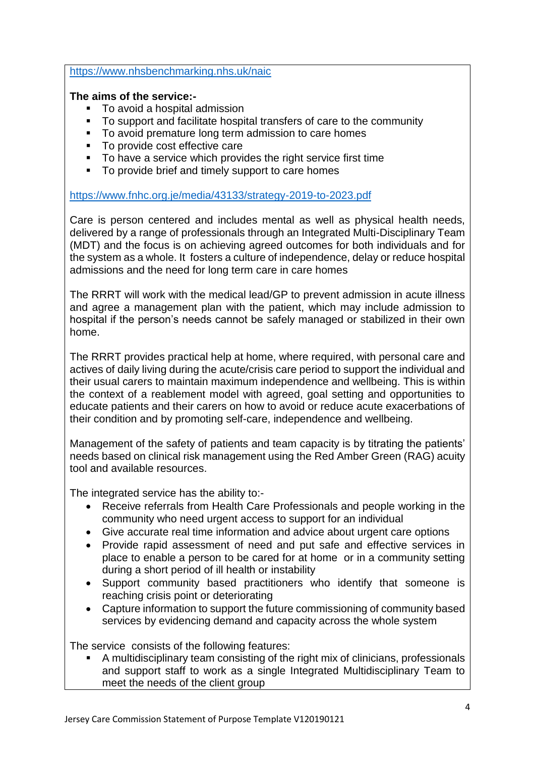<https://www.nhsbenchmarking.nhs.uk/naic>

### **The aims of the service:-**

- To avoid a hospital admission
- To support and facilitate hospital transfers of care to the community
- To avoid premature long term admission to care homes
- To provide cost effective care
- To have a service which provides the right service first time
- To provide brief and timely support to care homes

<https://www.fnhc.org.je/media/43133/strategy-2019-to-2023.pdf>

Care is person centered and includes mental as well as physical health needs, delivered by a range of professionals through an Integrated Multi-Disciplinary Team (MDT) and the focus is on achieving agreed outcomes for both individuals and for the system as a whole. It fosters a culture of independence, delay or reduce hospital admissions and the need for long term care in care homes

The RRRT will work with the medical lead/GP to prevent admission in acute illness and agree a management plan with the patient, which may include admission to hospital if the person's needs cannot be safely managed or stabilized in their own home.

The RRRT provides practical help at home, where required, with personal care and actives of daily living during the acute/crisis care period to support the individual and their usual carers to maintain maximum independence and wellbeing. This is within the context of a reablement model with agreed, goal setting and opportunities to educate patients and their carers on how to avoid or reduce acute exacerbations of their condition and by promoting self-care, independence and wellbeing.

Management of the safety of patients and team capacity is by titrating the patients' needs based on clinical risk management using the Red Amber Green (RAG) acuity tool and available resources.

The integrated service has the ability to:-

- Receive referrals from Health Care Professionals and people working in the community who need urgent access to support for an individual
- Give accurate real time information and advice about urgent care options
- Provide rapid assessment of need and put safe and effective services in place to enable a person to be cared for at home or in a community setting during a short period of ill health or instability
- Support community based practitioners who identify that someone is reaching crisis point or deteriorating
- Capture information to support the future commissioning of community based services by evidencing demand and capacity across the whole system

The service consists of the following features:

 A multidisciplinary team consisting of the right mix of clinicians, professionals and support staff to work as a single Integrated Multidisciplinary Team to meet the needs of the client group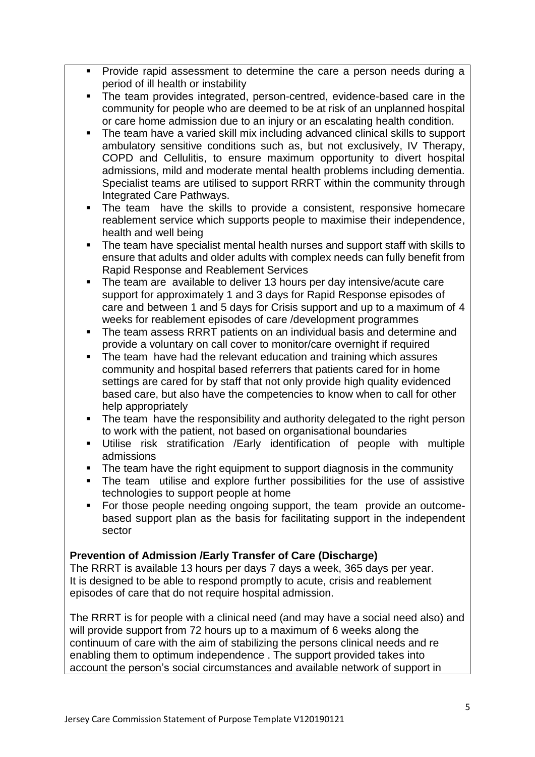- **Provide rapid assessment to determine the care a person needs during a** period of ill health or instability
- The team provides integrated, person-centred, evidence-based care in the community for people who are deemed to be at risk of an unplanned hospital or care home admission due to an injury or an escalating health condition.
- The team have a varied skill mix including advanced clinical skills to support ambulatory sensitive conditions such as, but not exclusively, IV Therapy, COPD and Cellulitis, to ensure maximum opportunity to divert hospital admissions, mild and moderate mental health problems including dementia. Specialist teams are utilised to support RRRT within the community through Integrated Care Pathways.
- The team have the skills to provide a consistent, responsive homecare reablement service which supports people to maximise their independence, health and well being
- The team have specialist mental health nurses and support staff with skills to ensure that adults and older adults with complex needs can fully benefit from Rapid Response and Reablement Services
- The team are available to deliver 13 hours per day intensive/acute care support for approximately 1 and 3 days for Rapid Response episodes of care and between 1 and 5 days for Crisis support and up to a maximum of 4 weeks for reablement episodes of care /development programmes
- The team assess RRRT patients on an individual basis and determine and provide a voluntary on call cover to monitor/care overnight if required
- The team have had the relevant education and training which assures community and hospital based referrers that patients cared for in home settings are cared for by staff that not only provide high quality evidenced based care, but also have the competencies to know when to call for other help appropriately
- The team have the responsibility and authority delegated to the right person to work with the patient, not based on organisational boundaries
- Utilise risk stratification /Early identification of people with multiple admissions
- The team have the right equipment to support diagnosis in the community
- The team utilise and explore further possibilities for the use of assistive technologies to support people at home
- For those people needing ongoing support, the team provide an outcomebased support plan as the basis for facilitating support in the independent sector

# **Prevention of Admission /Early Transfer of Care (Discharge)**

The RRRT is available 13 hours per days 7 days a week, 365 days per year. It is designed to be able to respond promptly to acute, crisis and reablement episodes of care that do not require hospital admission.

The RRRT is for people with a clinical need (and may have a social need also) and will provide support from 72 hours up to a maximum of 6 weeks along the continuum of care with the aim of stabilizing the persons clinical needs and re enabling them to optimum independence . The support provided takes into account the person's social circumstances and available network of support in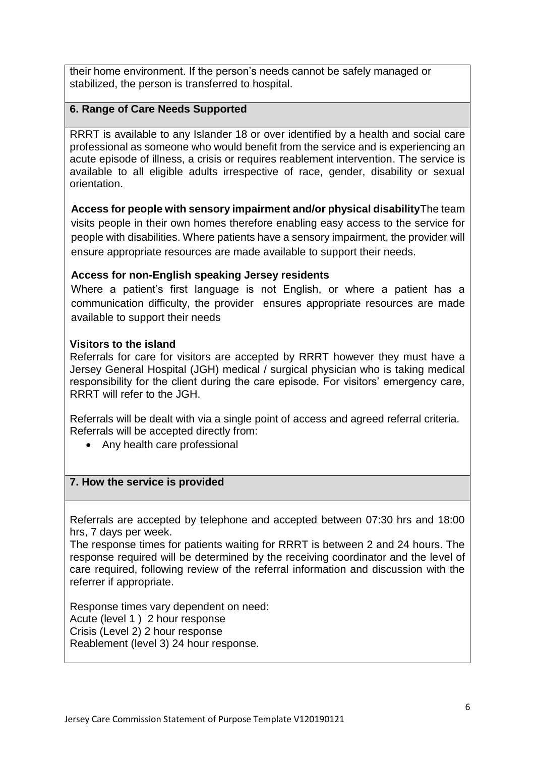their home environment. If the person's needs cannot be safely managed or stabilized, the person is transferred to hospital.

### **6. Range of Care Needs Supported**

RRRT is available to any Islander 18 or over identified by a health and social care professional as someone who would benefit from the service and is experiencing an acute episode of illness, a crisis or requires reablement intervention. The service is available to all eligible adults irrespective of race, gender, disability or sexual orientation.

**Access for people with sensory impairment and/or physical disability**The team visits people in their own homes therefore enabling easy access to the service for people with disabilities. Where patients have a sensory impairment, the provider will ensure appropriate resources are made available to support their needs.

### **Access for non-English speaking Jersey residents**

Where a patient's first language is not English, or where a patient has a communication difficulty, the provider ensures appropriate resources are made available to support their needs

### **Visitors to the island**

Referrals for care for visitors are accepted by RRRT however they must have a Jersey General Hospital (JGH) medical / surgical physician who is taking medical responsibility for the client during the care episode. For visitors' emergency care, RRRT will refer to the JGH.

Referrals will be dealt with via a single point of access and agreed referral criteria. Referrals will be accepted directly from:

• Any health care professional

#### **7. How the service is provided**

Referrals are accepted by telephone and accepted between 07:30 hrs and 18:00 hrs, 7 days per week.

The response times for patients waiting for RRRT is between 2 and 24 hours. The response required will be determined by the receiving coordinator and the level of care required, following review of the referral information and discussion with the referrer if appropriate.

Response times vary dependent on need: Acute (level 1 ) 2 hour response Crisis (Level 2) 2 hour response Reablement (level 3) 24 hour response.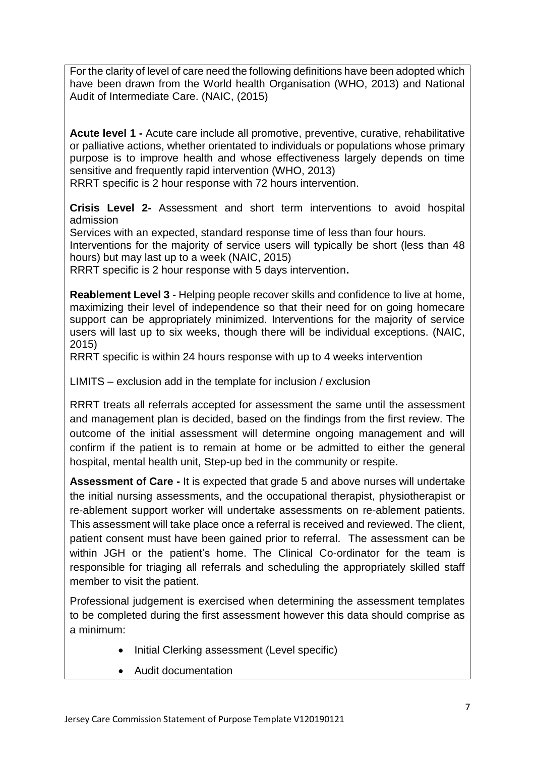For the clarity of level of care need the following definitions have been adopted which have been drawn from the World health Organisation (WHO, 2013) and National Audit of Intermediate Care. (NAIC, (2015)

**Acute level 1 -** Acute care include all promotive, preventive, curative, rehabilitative or palliative actions, whether orientated to individuals or populations whose primary purpose is to improve health and whose effectiveness largely depends on time sensitive and frequently rapid intervention (WHO, 2013)

RRRT specific is 2 hour response with 72 hours intervention.

**Crisis Level 2-** Assessment and short term interventions to avoid hospital admission

Services with an expected, standard response time of less than four hours. Interventions for the majority of service users will typically be short (less than 48 hours) but may last up to a week (NAIC, 2015)

RRRT specific is 2 hour response with 5 days intervention**.**

**Reablement Level 3 -** Helping people recover skills and confidence to live at home, maximizing their level of independence so that their need for on going homecare support can be appropriately minimized. Interventions for the majority of service users will last up to six weeks, though there will be individual exceptions. (NAIC, 2015)

RRRT specific is within 24 hours response with up to 4 weeks intervention

LIMITS – exclusion add in the template for inclusion / exclusion

RRRT treats all referrals accepted for assessment the same until the assessment and management plan is decided, based on the findings from the first review. The outcome of the initial assessment will determine ongoing management and will confirm if the patient is to remain at home or be admitted to either the general hospital, mental health unit, Step-up bed in the community or respite.

**Assessment of Care -** It is expected that grade 5 and above nurses will undertake the initial nursing assessments, and the occupational therapist, physiotherapist or re-ablement support worker will undertake assessments on re-ablement patients. This assessment will take place once a referral is received and reviewed. The client, patient consent must have been gained prior to referral. The assessment can be within JGH or the patient's home. The Clinical Co-ordinator for the team is responsible for triaging all referrals and scheduling the appropriately skilled staff member to visit the patient.

Professional judgement is exercised when determining the assessment templates to be completed during the first assessment however this data should comprise as a minimum:

- Initial Clerking assessment (Level specific)
- Audit documentation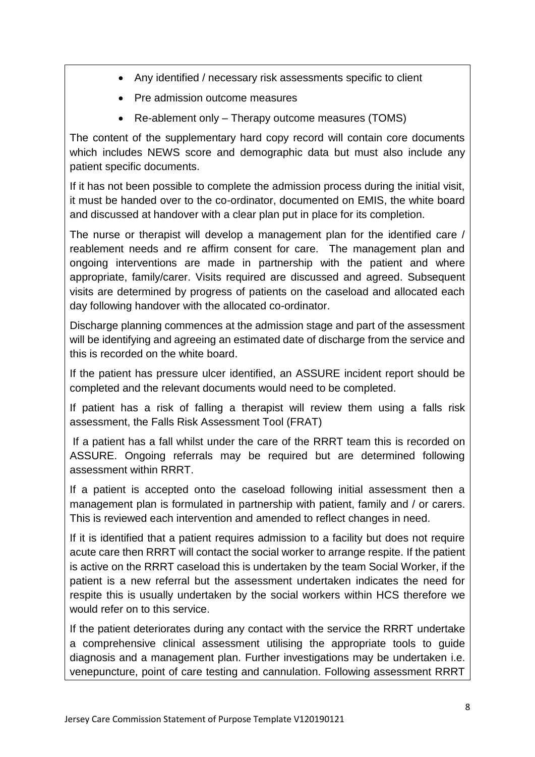- Any identified / necessary risk assessments specific to client
- Pre admission outcome measures
- Re-ablement only Therapy outcome measures (TOMS)

The content of the supplementary hard copy record will contain core documents which includes NEWS score and demographic data but must also include any patient specific documents.

If it has not been possible to complete the admission process during the initial visit, it must be handed over to the co-ordinator, documented on EMIS, the white board and discussed at handover with a clear plan put in place for its completion.

The nurse or therapist will develop a management plan for the identified care / reablement needs and re affirm consent for care. The management plan and ongoing interventions are made in partnership with the patient and where appropriate, family/carer. Visits required are discussed and agreed. Subsequent visits are determined by progress of patients on the caseload and allocated each day following handover with the allocated co-ordinator.

Discharge planning commences at the admission stage and part of the assessment will be identifying and agreeing an estimated date of discharge from the service and this is recorded on the white board.

If the patient has pressure ulcer identified, an ASSURE incident report should be completed and the relevant documents would need to be completed.

If patient has a risk of falling a therapist will review them using a falls risk assessment, the Falls Risk Assessment Tool (FRAT)

If a patient has a fall whilst under the care of the RRRT team this is recorded on ASSURE. Ongoing referrals may be required but are determined following assessment within RRRT.

If a patient is accepted onto the caseload following initial assessment then a management plan is formulated in partnership with patient, family and / or carers. This is reviewed each intervention and amended to reflect changes in need.

If it is identified that a patient requires admission to a facility but does not require acute care then RRRT will contact the social worker to arrange respite. If the patient is active on the RRRT caseload this is undertaken by the team Social Worker, if the patient is a new referral but the assessment undertaken indicates the need for respite this is usually undertaken by the social workers within HCS therefore we would refer on to this service.

If the patient deteriorates during any contact with the service the RRRT undertake a comprehensive clinical assessment utilising the appropriate tools to guide diagnosis and a management plan. Further investigations may be undertaken i.e. venepuncture, point of care testing and cannulation. Following assessment RRRT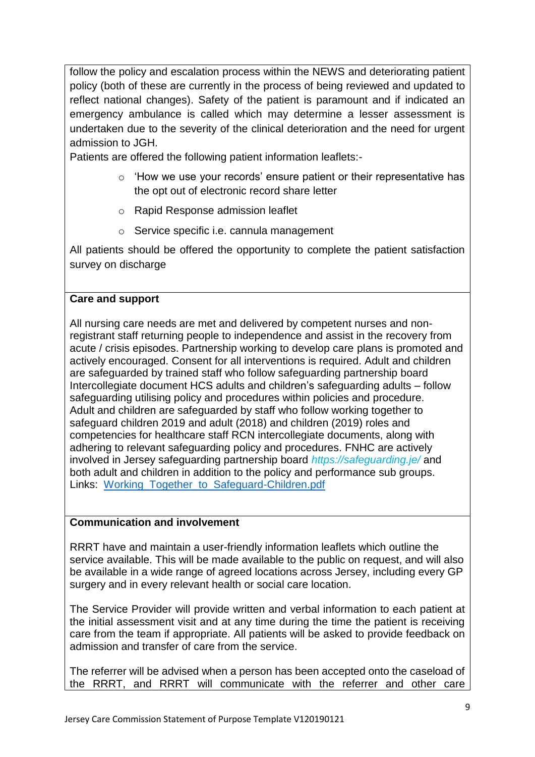follow the policy and escalation process within the NEWS and deteriorating patient policy (both of these are currently in the process of being reviewed and updated to reflect national changes). Safety of the patient is paramount and if indicated an emergency ambulance is called which may determine a lesser assessment is undertaken due to the severity of the clinical deterioration and the need for urgent admission to JGH.

Patients are offered the following patient information leaflets:-

- o 'How we use your records' ensure patient or their representative has the opt out of electronic record share letter
- o Rapid Response admission leaflet
- o Service specific i.e. cannula management

All patients should be offered the opportunity to complete the patient satisfaction survey on discharge

### **Care and support**

All nursing care needs are met and delivered by competent nurses and nonregistrant staff returning people to independence and assist in the recovery from acute / crisis episodes. Partnership working to develop care plans is promoted and actively encouraged. Consent for all interventions is required. Adult and children are safeguarded by trained staff who follow safeguarding partnership board Intercollegiate document HCS adults and children's safeguarding adults – follow safeguarding utilising policy and procedures within policies and procedure. Adult and children are safeguarded by staff who follow working together to safeguard children 2019 and adult (2018) and children (2019) roles and competencies for healthcare staff RCN intercollegiate documents, along with adhering to relevant safeguarding policy and procedures. FNHC are actively involved in Jersey safeguarding partnership board *https://safeguarding.je/* and both adult and children in addition to the policy and performance sub groups. Links: [Working\\_Together\\_to\\_Safeguard-Children.pdf](file://///ois.gov.soj/sojdata/HSS/FNHC/Rapid%20Response/A1%20Manager/Care%20regulation%20manager/Working_Together_to_Safeguard-Children.pdf)

#### **Communication and involvement**

RRRT have and maintain a user-friendly information leaflets which outline the service available. This will be made available to the public on request, and will also be available in a wide range of agreed locations across Jersey, including every GP surgery and in every relevant health or social care location.

The Service Provider will provide written and verbal information to each patient at the initial assessment visit and at any time during the time the patient is receiving care from the team if appropriate. All patients will be asked to provide feedback on admission and transfer of care from the service.

The referrer will be advised when a person has been accepted onto the caseload of the RRRT, and RRRT will communicate with the referrer and other care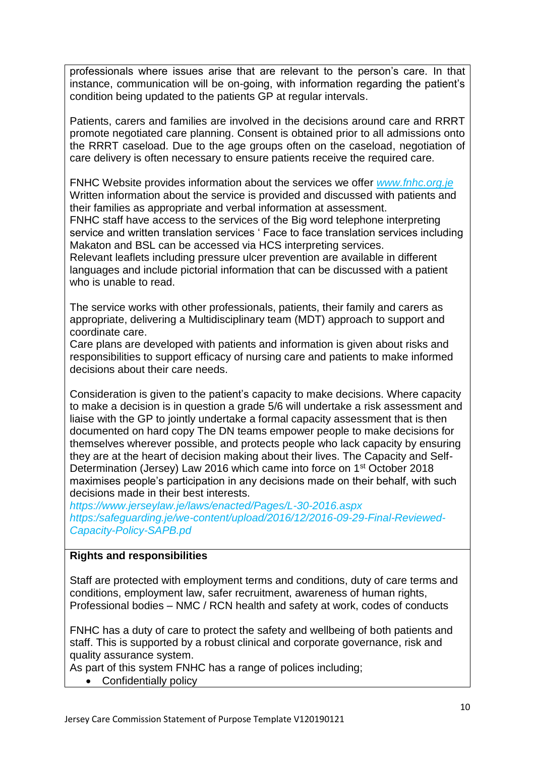professionals where issues arise that are relevant to the person's care. In that instance, communication will be on-going, with information regarding the patient's condition being updated to the patients GP at regular intervals.

Patients, carers and families are involved in the decisions around care and RRRT promote negotiated care planning. Consent is obtained prior to all admissions onto the RRRT caseload. Due to the age groups often on the caseload, negotiation of care delivery is often necessary to ensure patients receive the required care.

FNHC Website provides information about the services we offer *[www.fnhc.org.je](http://www.fnhc.org.je/)* Written information about the service is provided and discussed with patients and their families as appropriate and verbal information at assessment.

FNHC staff have access to the services of the Big word telephone interpreting service and written translation services ' Face to face translation services including Makaton and BSL can be accessed via HCS interpreting services.

Relevant leaflets including pressure ulcer prevention are available in different languages and include pictorial information that can be discussed with a patient who is unable to read.

The service works with other professionals, patients, their family and carers as appropriate, delivering a Multidisciplinary team (MDT) approach to support and coordinate care.

Care plans are developed with patients and information is given about risks and responsibilities to support efficacy of nursing care and patients to make informed decisions about their care needs.

Consideration is given to the patient's capacity to make decisions. Where capacity to make a decision is in question a grade 5/6 will undertake a risk assessment and liaise with the GP to jointly undertake a formal capacity assessment that is then documented on hard copy The DN teams empower people to make decisions for themselves wherever possible, and protects people who lack capacity by ensuring they are at the heart of decision making about their lives. The Capacity and Self-Determination (Jersey) Law 2016 which came into force on 1<sup>st</sup> October 2018 maximises people's participation in any decisions made on their behalf, with such decisions made in their best interests.

*https://www.jerseylaw.je/laws/enacted/Pages/L-30-2016.aspx https:/safeguarding.je/we-content/upload/2016/12/2016-09-29-Final-Reviewed-Capacity-Policy-SAPB.pd*

#### **Rights and responsibilities**

Staff are protected with employment terms and conditions, duty of care terms and conditions, employment law, safer recruitment, awareness of human rights, Professional bodies – NMC / RCN health and safety at work, codes of conducts

FNHC has a duty of care to protect the safety and wellbeing of both patients and staff. This is supported by a robust clinical and corporate governance, risk and quality assurance system.

As part of this system FNHC has a range of polices including;

• Confidentially policy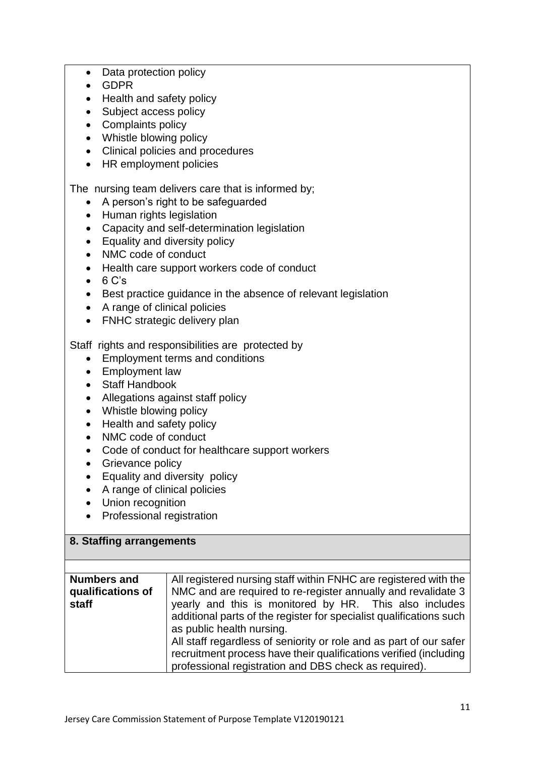- Data protection policy
- GDPR
- Health and safety policy
- Subject access policy
- Complaints policy
- Whistle blowing policy
- Clinical policies and procedures
- HR employment policies

The nursing team delivers care that is informed by;

- A person's right to be safeguarded
- Human rights legislation
- Capacity and self-determination legislation
- Equality and diversity policy
- NMC code of conduct
- Health care support workers code of conduct
- $-6 C's$
- Best practice quidance in the absence of relevant legislation
- A range of clinical policies
- FNHC strategic delivery plan

Staff rights and responsibilities are protected by

- Employment terms and conditions
- Employment law
- Staff Handbook
- Allegations against staff policy
- Whistle blowing policy
- Health and safety policy
- NMC code of conduct
- Code of conduct for healthcare support workers
- Grievance policy
- Equality and diversity policy
- A range of clinical policies
- Union recognition
- Professional registration

## **8. Staffing arrangements**

| <b>Numbers and</b> | All registered nursing staff within FNHC are registered with the    |
|--------------------|---------------------------------------------------------------------|
| qualifications of  | NMC and are required to re-register annually and revalidate 3       |
| staff              | yearly and this is monitored by HR. This also includes              |
|                    | additional parts of the register for specialist qualifications such |
|                    | as public health nursing.                                           |
|                    | All staff regardless of seniority or role and as part of our safer  |
|                    | recruitment process have their qualifications verified (including   |
|                    | professional registration and DBS check as required).               |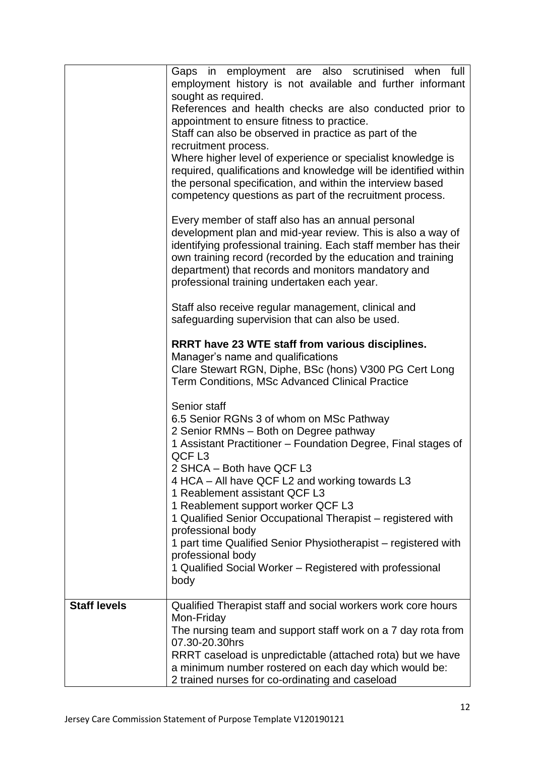|                     | Gaps in employment are also scrutinised when full<br>employment history is not available and further informant<br>sought as required.<br>References and health checks are also conducted prior to<br>appointment to ensure fitness to practice.<br>Staff can also be observed in practice as part of the<br>recruitment process.<br>Where higher level of experience or specialist knowledge is<br>required, qualifications and knowledge will be identified within<br>the personal specification, and within the interview based<br>competency questions as part of the recruitment process.<br>Every member of staff also has an annual personal |
|---------------------|----------------------------------------------------------------------------------------------------------------------------------------------------------------------------------------------------------------------------------------------------------------------------------------------------------------------------------------------------------------------------------------------------------------------------------------------------------------------------------------------------------------------------------------------------------------------------------------------------------------------------------------------------|
|                     | development plan and mid-year review. This is also a way of<br>identifying professional training. Each staff member has their<br>own training record (recorded by the education and training<br>department) that records and monitors mandatory and<br>professional training undertaken each year.<br>Staff also receive regular management, clinical and                                                                                                                                                                                                                                                                                          |
|                     | safeguarding supervision that can also be used.<br>RRRT have 23 WTE staff from various disciplines.<br>Manager's name and qualifications<br>Clare Stewart RGN, Diphe, BSc (hons) V300 PG Cert Long<br>Term Conditions, MSc Advanced Clinical Practice                                                                                                                                                                                                                                                                                                                                                                                              |
|                     | Senior staff<br>6.5 Senior RGNs 3 of whom on MSc Pathway<br>2 Senior RMNs - Both on Degree pathway<br>1 Assistant Practitioner - Foundation Degree, Final stages of<br>QCF <sub>L3</sub><br>2 SHCA - Both have QCF L3<br>4 HCA – All have QCF L2 and working towards L3<br>1 Reablement assistant QCF L3<br>1 Reablement support worker QCF L3<br>1 Qualified Senior Occupational Therapist - registered with<br>professional body<br>1 part time Qualified Senior Physiotherapist – registered with<br>professional body<br>1 Qualified Social Worker - Registered with professional<br>body                                                      |
| <b>Staff levels</b> | Qualified Therapist staff and social workers work core hours<br>Mon-Friday<br>The nursing team and support staff work on a 7 day rota from<br>07.30-20.30hrs<br>RRRT caseload is unpredictable (attached rota) but we have<br>a minimum number rostered on each day which would be:<br>2 trained nurses for co-ordinating and caseload                                                                                                                                                                                                                                                                                                             |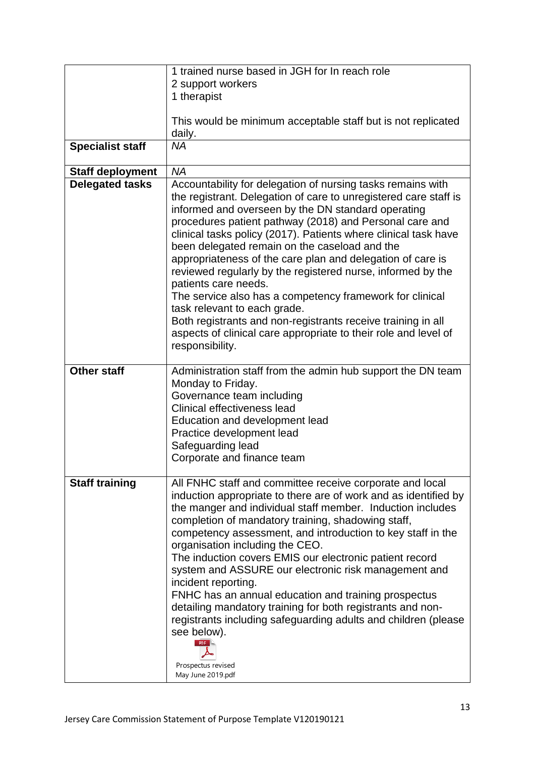|                         | 1 trained nurse based in JGH for In reach role                                                                                                                                                                                                                                                                                                                                                                                                                                                                                                                                                                                                                                                                                                                              |
|-------------------------|-----------------------------------------------------------------------------------------------------------------------------------------------------------------------------------------------------------------------------------------------------------------------------------------------------------------------------------------------------------------------------------------------------------------------------------------------------------------------------------------------------------------------------------------------------------------------------------------------------------------------------------------------------------------------------------------------------------------------------------------------------------------------------|
|                         | 2 support workers                                                                                                                                                                                                                                                                                                                                                                                                                                                                                                                                                                                                                                                                                                                                                           |
|                         | 1 therapist                                                                                                                                                                                                                                                                                                                                                                                                                                                                                                                                                                                                                                                                                                                                                                 |
|                         |                                                                                                                                                                                                                                                                                                                                                                                                                                                                                                                                                                                                                                                                                                                                                                             |
|                         | This would be minimum acceptable staff but is not replicated<br>daily.                                                                                                                                                                                                                                                                                                                                                                                                                                                                                                                                                                                                                                                                                                      |
| <b>Specialist staff</b> | <b>NA</b>                                                                                                                                                                                                                                                                                                                                                                                                                                                                                                                                                                                                                                                                                                                                                                   |
| <b>Staff deployment</b> | <b>NA</b>                                                                                                                                                                                                                                                                                                                                                                                                                                                                                                                                                                                                                                                                                                                                                                   |
| <b>Delegated tasks</b>  | Accountability for delegation of nursing tasks remains with<br>the registrant. Delegation of care to unregistered care staff is<br>informed and overseen by the DN standard operating<br>procedures patient pathway (2018) and Personal care and<br>clinical tasks policy (2017). Patients where clinical task have<br>been delegated remain on the caseload and the<br>appropriateness of the care plan and delegation of care is<br>reviewed regularly by the registered nurse, informed by the<br>patients care needs.<br>The service also has a competency framework for clinical<br>task relevant to each grade.<br>Both registrants and non-registrants receive training in all<br>aspects of clinical care appropriate to their role and level of<br>responsibility. |
| <b>Other staff</b>      | Administration staff from the admin hub support the DN team<br>Monday to Friday.<br>Governance team including<br>Clinical effectiveness lead<br>Education and development lead<br>Practice development lead<br>Safeguarding lead<br>Corporate and finance team                                                                                                                                                                                                                                                                                                                                                                                                                                                                                                              |
| <b>Staff training</b>   | All FNHC staff and committee receive corporate and local<br>induction appropriate to there are of work and as identified by<br>the manger and individual staff member. Induction includes<br>completion of mandatory training, shadowing staff,<br>competency assessment, and introduction to key staff in the<br>organisation including the CEO.<br>The induction covers EMIS our electronic patient record<br>system and ASSURE our electronic risk management and<br>incident reporting.<br>FNHC has an annual education and training prospectus<br>detailing mandatory training for both registrants and non-<br>registrants including safeguarding adults and children (please<br>see below).<br>PDF<br>Prospectus revised<br>May June 2019.pdf                        |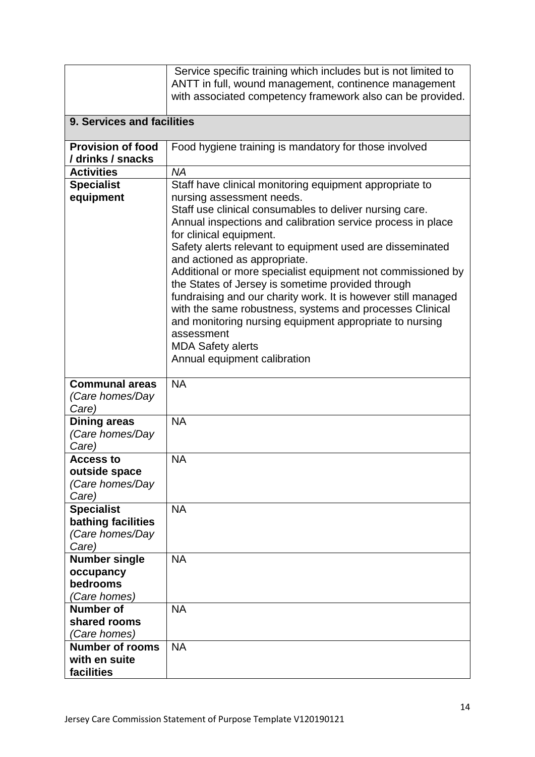|                                                                     | Service specific training which includes but is not limited to<br>ANTT in full, wound management, continence management<br>with associated competency framework also can be provided.                                                                                                                                                                                                                                                                                                                                                                                                                                                                             |
|---------------------------------------------------------------------|-------------------------------------------------------------------------------------------------------------------------------------------------------------------------------------------------------------------------------------------------------------------------------------------------------------------------------------------------------------------------------------------------------------------------------------------------------------------------------------------------------------------------------------------------------------------------------------------------------------------------------------------------------------------|
| 9. Services and facilities                                          |                                                                                                                                                                                                                                                                                                                                                                                                                                                                                                                                                                                                                                                                   |
| <b>Provision of food</b><br>/ drinks / snacks                       | Food hygiene training is mandatory for those involved                                                                                                                                                                                                                                                                                                                                                                                                                                                                                                                                                                                                             |
| <b>Activities</b>                                                   | <b>NA</b>                                                                                                                                                                                                                                                                                                                                                                                                                                                                                                                                                                                                                                                         |
| <b>Specialist</b>                                                   | Staff have clinical monitoring equipment appropriate to                                                                                                                                                                                                                                                                                                                                                                                                                                                                                                                                                                                                           |
| equipment                                                           | nursing assessment needs.<br>Staff use clinical consumables to deliver nursing care.<br>Annual inspections and calibration service process in place<br>for clinical equipment.<br>Safety alerts relevant to equipment used are disseminated<br>and actioned as appropriate.<br>Additional or more specialist equipment not commissioned by<br>the States of Jersey is sometime provided through<br>fundraising and our charity work. It is however still managed<br>with the same robustness, systems and processes Clinical<br>and monitoring nursing equipment appropriate to nursing<br>assessment<br><b>MDA Safety alerts</b><br>Annual equipment calibration |
| <b>Communal areas</b><br>(Care homes/Day<br>Care)                   | <b>NA</b>                                                                                                                                                                                                                                                                                                                                                                                                                                                                                                                                                                                                                                                         |
| <b>Dining areas</b><br>(Care homes/Day<br>Care)                     | <b>NA</b>                                                                                                                                                                                                                                                                                                                                                                                                                                                                                                                                                                                                                                                         |
| <b>Access to</b><br>outside space<br>(Care homes/Day<br>Care)       | <b>NA</b>                                                                                                                                                                                                                                                                                                                                                                                                                                                                                                                                                                                                                                                         |
| <b>Specialist</b><br>bathing facilities<br>(Care homes/Day<br>Care) | <b>NA</b>                                                                                                                                                                                                                                                                                                                                                                                                                                                                                                                                                                                                                                                         |
| <b>Number single</b><br>occupancy<br>bedrooms<br>(Care homes)       | <b>NA</b>                                                                                                                                                                                                                                                                                                                                                                                                                                                                                                                                                                                                                                                         |
| <b>Number of</b><br>shared rooms<br>(Care homes)                    | <b>NA</b>                                                                                                                                                                                                                                                                                                                                                                                                                                                                                                                                                                                                                                                         |
| <b>Number of rooms</b><br>with en suite<br>facilities               | <b>NA</b>                                                                                                                                                                                                                                                                                                                                                                                                                                                                                                                                                                                                                                                         |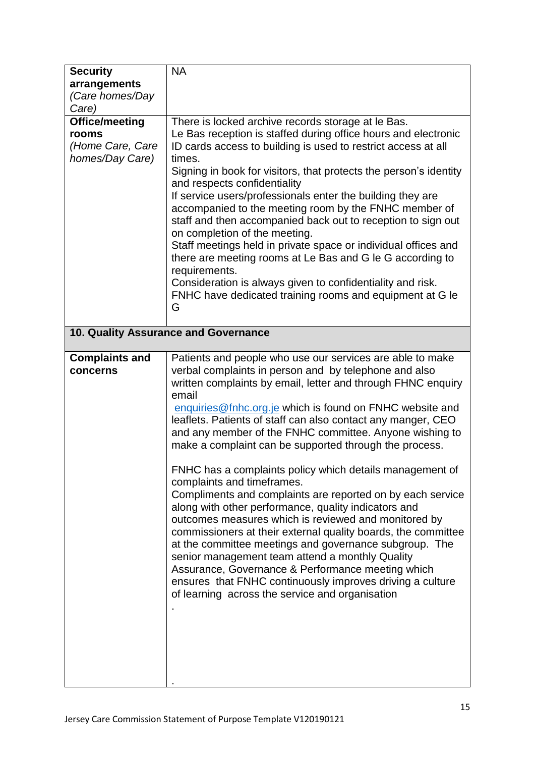| <b>Security</b>       | <b>NA</b>                                                                                            |
|-----------------------|------------------------------------------------------------------------------------------------------|
| arrangements          |                                                                                                      |
| (Care homes/Day       |                                                                                                      |
| Care)                 |                                                                                                      |
| <b>Office/meeting</b> | There is locked archive records storage at le Bas.                                                   |
| rooms                 | Le Bas reception is staffed during office hours and electronic                                       |
| (Home Care, Care      | ID cards access to building is used to restrict access at all                                        |
| homes/Day Care)       | times.                                                                                               |
|                       | Signing in book for visitors, that protects the person's identity                                    |
|                       | and respects confidentiality                                                                         |
|                       | If service users/professionals enter the building they are                                           |
|                       | accompanied to the meeting room by the FNHC member of                                                |
|                       | staff and then accompanied back out to reception to sign out                                         |
|                       | on completion of the meeting.                                                                        |
|                       | Staff meetings held in private space or individual offices and                                       |
|                       | there are meeting rooms at Le Bas and G le G according to                                            |
|                       | requirements.                                                                                        |
|                       | Consideration is always given to confidentiality and risk.                                           |
|                       | FNHC have dedicated training rooms and equipment at G le                                             |
|                       | G                                                                                                    |
|                       |                                                                                                      |
|                       | 10. Quality Assurance and Governance                                                                 |
| <b>Complaints and</b> | Patients and people who use our services are able to make                                            |
| concerns              | verbal complaints in person and by telephone and also                                                |
|                       | written complaints by email, letter and through FHNC enquiry                                         |
|                       | email                                                                                                |
|                       | enquiries@fnhc.org.je which is found on FNHC website and                                             |
|                       | leaflets. Patients of staff can also contact any manger, CEO                                         |
|                       | and any member of the FNHC committee. Anyone wishing to                                              |
|                       | make a complaint can be supported through the process.                                               |
|                       |                                                                                                      |
|                       | FNHC has a complaints policy which details management of                                             |
|                       | complaints and timeframes.                                                                           |
|                       | Compliments and complaints are reported on by each service                                           |
|                       | along with other performance, quality indicators and                                                 |
|                       | outcomes measures which is reviewed and monitored by                                                 |
|                       | commissioners at their external quality boards, the committee                                        |
|                       | at the committee meetings and governance subgroup. The                                               |
|                       | senior management team attend a monthly Quality<br>Assurance, Governance & Performance meeting which |
|                       | ensures that FNHC continuously improves driving a culture                                            |
|                       | of learning across the service and organisation                                                      |
|                       |                                                                                                      |
|                       |                                                                                                      |
|                       |                                                                                                      |
|                       |                                                                                                      |
|                       |                                                                                                      |
|                       |                                                                                                      |
|                       |                                                                                                      |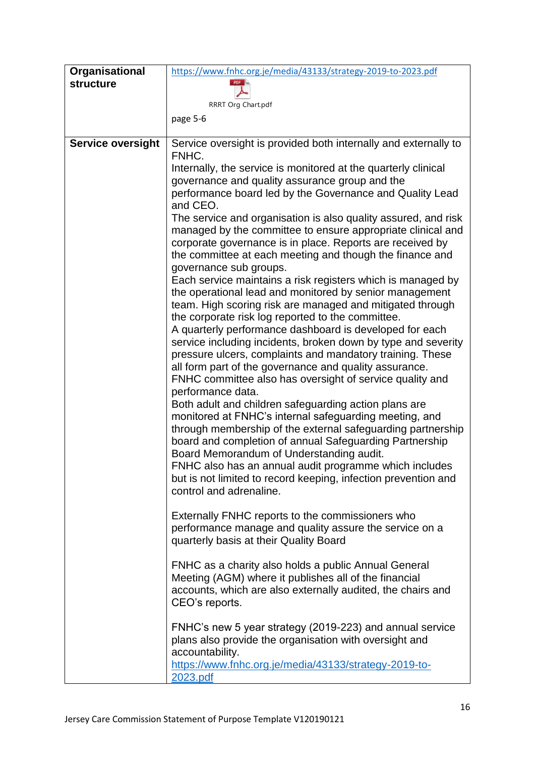| Organisational           | https://www.fnhc.org.je/media/43133/strategy-2019-to-2023.pdf                                                            |
|--------------------------|--------------------------------------------------------------------------------------------------------------------------|
| <b>structure</b>         | PDF                                                                                                                      |
|                          | RRRT Org Chart.pdf                                                                                                       |
|                          | page 5-6                                                                                                                 |
|                          |                                                                                                                          |
| <b>Service oversight</b> | Service oversight is provided both internally and externally to<br>FNHC.                                                 |
|                          | Internally, the service is monitored at the quarterly clinical                                                           |
|                          | governance and quality assurance group and the                                                                           |
|                          | performance board led by the Governance and Quality Lead                                                                 |
|                          | and CEO.                                                                                                                 |
|                          | The service and organisation is also quality assured, and risk                                                           |
|                          | managed by the committee to ensure appropriate clinical and<br>corporate governance is in place. Reports are received by |
|                          | the committee at each meeting and though the finance and                                                                 |
|                          | governance sub groups.                                                                                                   |
|                          | Each service maintains a risk registers which is managed by                                                              |
|                          | the operational lead and monitored by senior management                                                                  |
|                          | team. High scoring risk are managed and mitigated through<br>the corporate risk log reported to the committee.           |
|                          | A quarterly performance dashboard is developed for each                                                                  |
|                          | service including incidents, broken down by type and severity                                                            |
|                          | pressure ulcers, complaints and mandatory training. These                                                                |
|                          | all form part of the governance and quality assurance.                                                                   |
|                          | FNHC committee also has oversight of service quality and                                                                 |
|                          | performance data.<br>Both adult and children safeguarding action plans are                                               |
|                          | monitored at FNHC's internal safeguarding meeting, and                                                                   |
|                          | through membership of the external safeguarding partnership                                                              |
|                          | board and completion of annual Safeguarding Partnership                                                                  |
|                          | Board Memorandum of Understanding audit.                                                                                 |
|                          | FNHC also has an annual audit programme which includes<br>but is not limited to record keeping, infection prevention and |
|                          | control and adrenaline.                                                                                                  |
|                          |                                                                                                                          |
|                          | Externally FNHC reports to the commissioners who                                                                         |
|                          | performance manage and quality assure the service on a                                                                   |
|                          | quarterly basis at their Quality Board                                                                                   |
|                          | FNHC as a charity also holds a public Annual General                                                                     |
|                          | Meeting (AGM) where it publishes all of the financial                                                                    |
|                          | accounts, which are also externally audited, the chairs and                                                              |
|                          | CEO's reports.                                                                                                           |
|                          | FNHC's new 5 year strategy (2019-223) and annual service                                                                 |
|                          | plans also provide the organisation with oversight and                                                                   |
|                          | accountability.                                                                                                          |
|                          | https://www.fnhc.org.je/media/43133/strategy-2019-to-                                                                    |
|                          | 2023.pdf                                                                                                                 |